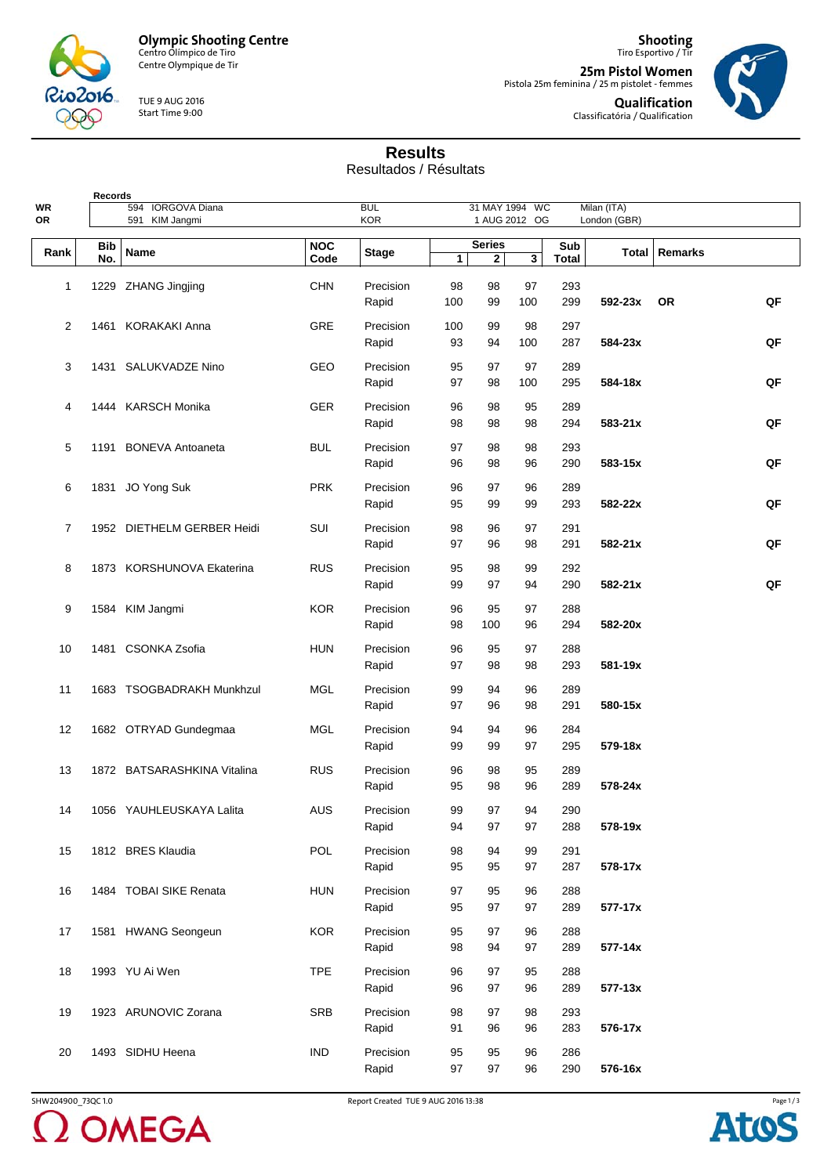**Olympic Shooting Centre** Centro Olímpico de Tiro

 $2016$ Rio

Centre Olympique de Tir

TUE 9 AUG 2016 Start Time 9:00

**Shooting** Tiro Esportivo / Tir **25m Pistol Women** Pistola 25m feminina / 25 m pistolet - femmes **Qualification**

Classificatória / Qualification



## **Results**

Resultados / Résultats

| <b>Records</b> |                   |                             |                    |              |              |                |     |                     |              |                 |    |
|----------------|-------------------|-----------------------------|--------------------|--------------|--------------|----------------|-----|---------------------|--------------|-----------------|----|
| WR             |                   | <b>IORGOVA Diana</b><br>594 |                    | <b>BUL</b>   |              | 31 MAY 1994 WC |     |                     | Milan (ITA)  |                 |    |
| OR             |                   | 591 KIM Jangmi              |                    | <b>KOR</b>   |              | 1 AUG 2012 OG  |     |                     | London (GBR) |                 |    |
|                |                   |                             |                    |              |              | <b>Series</b>  |     |                     |              |                 |    |
| Rank           | <b>Bib</b><br>No. | <b>Name</b>                 | <b>NOC</b><br>Code | <b>Stage</b> | $\mathbf{1}$ | $\mathbf{2}$   | 3   | Sub<br><b>Total</b> |              | Total   Remarks |    |
|                |                   |                             |                    |              |              |                |     |                     |              |                 |    |
| 1              |                   | 1229 ZHANG Jingjing         | <b>CHN</b>         | Precision    | 98           | 98             | 97  | 293                 |              |                 |    |
|                |                   |                             |                    | Rapid        | 100          | 99             | 100 | 299                 | 592-23x      | <b>OR</b>       | QF |
|                |                   |                             |                    |              |              |                |     |                     |              |                 |    |
| 2              |                   | 1461 KORAKAKI Anna          | <b>GRE</b>         | Precision    | 100          | 99             | 98  | 297                 |              |                 |    |
|                |                   |                             |                    | Rapid        | 93           | 94             | 100 | 287                 | 584-23x      |                 | QF |
|                |                   |                             |                    |              |              |                |     |                     |              |                 |    |
| 3              |                   | 1431 SALUKVADZE Nino        | GEO                | Precision    | 95           | 97             | 97  | 289                 |              |                 |    |
|                |                   |                             |                    | Rapid        | 97           | 98             | 100 | 295                 | 584-18x      |                 | QF |
| 4              |                   | 1444 KARSCH Monika          | GER                | Precision    | 96           | 98             | 95  | 289                 |              |                 |    |
|                |                   |                             |                    | Rapid        | 98           | 98             | 98  | 294                 | $583 - 21x$  |                 | QF |
|                |                   |                             |                    |              |              |                |     |                     |              |                 |    |
| 5              |                   | 1191 BONEVA Antoaneta       | <b>BUL</b>         | Precision    | 97           | 98             | 98  | 293                 |              |                 |    |
|                |                   |                             |                    | Rapid        | 96           | 98             | 96  | 290                 | 583-15x      |                 | QF |
|                |                   |                             |                    |              |              |                |     |                     |              |                 |    |
| 6              |                   | 1831 JO Yong Suk            | <b>PRK</b>         | Precision    | 96           | 97             | 96  | 289                 |              |                 |    |
|                |                   |                             |                    | Rapid        | 95           | 99             | 99  | 293                 | 582-22x      |                 | QF |
|                |                   |                             |                    |              |              |                |     |                     |              |                 |    |
| 7              |                   | 1952 DIETHELM GERBER Heidi  | SUI                | Precision    | 98           | 96             | 97  | 291                 |              |                 |    |
|                |                   |                             |                    | Rapid        | 97           | 96             | 98  | 291                 | $582 - 21x$  |                 | QF |
|                |                   |                             |                    | Precision    |              |                |     |                     |              |                 |    |
| 8              |                   | 1873 KORSHUNOVA Ekaterina   | <b>RUS</b>         |              | 95           | 98             | 99  | 292                 |              |                 |    |
|                |                   |                             |                    | Rapid        | 99           | 97             | 94  | 290                 | 582-21x      |                 | QF |
| 9              |                   | 1584 KIM Jangmi             | <b>KOR</b>         | Precision    | 96           | 95             | 97  | 288                 |              |                 |    |
|                |                   |                             |                    | Rapid        | 98           | 100            | 96  | 294                 | 582-20x      |                 |    |
|                |                   |                             |                    |              |              |                |     |                     |              |                 |    |
| 10             |                   | 1481 CSONKA Zsofia          | <b>HUN</b>         | Precision    | 96           | 95             | 97  | 288                 |              |                 |    |
|                |                   |                             |                    | Rapid        | 97           | 98             | 98  | 293                 | 581-19x      |                 |    |
|                |                   |                             |                    |              |              |                |     |                     |              |                 |    |
| 11             |                   | 1683 TSOGBADRAKH Munkhzul   | <b>MGL</b>         | Precision    | 99           | 94             | 96  | 289                 |              |                 |    |
|                |                   |                             |                    | Rapid        | 97           | 96             | 98  | 291                 | 580-15x      |                 |    |
|                |                   |                             |                    |              |              |                |     |                     |              |                 |    |
| 12             |                   | 1682 OTRYAD Gundegmaa       | MGL                | Precision    | 94           | 94             | 96  | 284                 |              |                 |    |
|                |                   |                             |                    | Rapid        | 99           | 99             | 97  | 295                 | 579-18x      |                 |    |
| 13             |                   | 1872 BATSARASHKINA Vitalina | <b>RUS</b>         | Precision    | 96           | 98             | 95  | 289                 |              |                 |    |
|                |                   |                             |                    |              |              |                |     |                     |              |                 |    |
|                |                   |                             |                    | Rapid        | 95           | 98             | 96  | 289                 | 578-24x      |                 |    |
| 14             |                   | 1056 YAUHLEUSKAYA Lalita    | <b>AUS</b>         | Precision    | 99           | 97             | 94  | 290                 |              |                 |    |
|                |                   |                             |                    | Rapid        | 94           | 97             | 97  | 288                 | 578-19x      |                 |    |
|                |                   |                             |                    |              |              |                |     |                     |              |                 |    |
| 15             |                   | 1812 BRES Klaudia           | POL                | Precision    | 98           | 94             | 99  | 291                 |              |                 |    |
|                |                   |                             |                    | Rapid        | 95           | 95             | 97  | 287                 | 578-17x      |                 |    |
|                |                   |                             |                    |              |              |                |     |                     |              |                 |    |
| 16             |                   | 1484 TOBAI SIKE Renata      | <b>HUN</b>         | Precision    | 97           | 95             | 96  | 288                 |              |                 |    |
|                |                   |                             |                    | Rapid        | 95           | 97             | 97  | 289                 | 577-17x      |                 |    |
|                |                   |                             | <b>KOR</b>         | Precision    |              |                |     |                     |              |                 |    |
| 17             |                   | 1581 HWANG Seongeun         |                    |              | 95           | 97             | 96  | 288                 |              |                 |    |
|                |                   |                             |                    | Rapid        | 98           | 94             | 97  | 289                 | 577-14x      |                 |    |
| 18             |                   | 1993 YU Ai Wen              | <b>TPE</b>         | Precision    | 96           | 97             | 95  | 288                 |              |                 |    |
|                |                   |                             |                    | Rapid        | 96           | 97             | 96  | 289                 | $577 - 13x$  |                 |    |
|                |                   |                             |                    |              |              |                |     |                     |              |                 |    |
| 19             |                   | 1923 ARUNOVIC Zorana        | <b>SRB</b>         | Precision    | 98           | 97             | 98  | 293                 |              |                 |    |
|                |                   |                             |                    | Rapid        | 91           | 96             | 96  | 283                 | 576-17x      |                 |    |
|                |                   |                             |                    |              |              |                |     |                     |              |                 |    |
| 20             |                   | 1493 SIDHU Heena            | <b>IND</b>         | Precision    | 95           | 95             | 96  | 286                 |              |                 |    |
|                |                   |                             |                    | Rapid        | 97           | 97             | 96  | 290                 | 576-16x      |                 |    |
|                |                   |                             |                    |              |              |                |     |                     |              |                 |    |



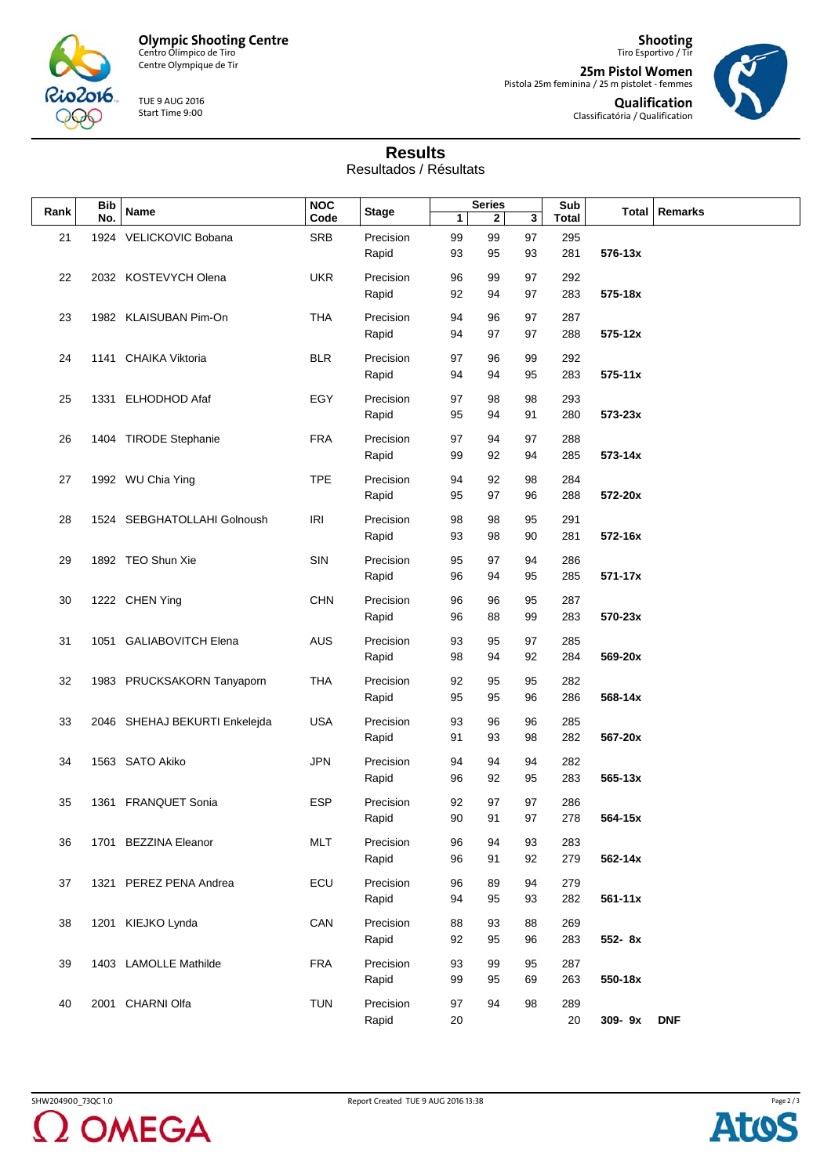

 $2016$ Rio

Centre Olympique de Tir

TUE 9 AUG 2016 Start Time 9:00

**Shooting** Tiro Esportivo / Tir

**25m Pistol Women**<br>Pistola 25m feminina / 25 m pistolet - femmes **Qualification** Classificatória / Qualification



## **Results**

Resultados / Résultats

| <b>Bib</b> |     |                               | <b>NOC</b> |              | <b>Series</b> |             | Sub |              |             |                 |
|------------|-----|-------------------------------|------------|--------------|---------------|-------------|-----|--------------|-------------|-----------------|
| Rank       | No. | Name                          | Code       | <b>Stage</b> | $\mathbf{1}$  | $\mathbf 2$ | 3   | <b>Total</b> |             | Total   Remarks |
|            |     |                               |            |              |               |             |     |              |             |                 |
| 21         |     | 1924 VELICKOVIC Bobana        | <b>SRB</b> | Precision    | 99            | 99          | 97  | 295          |             |                 |
|            |     |                               |            | Rapid        | 93            | 95          | 93  | 281          | $576 - 13x$ |                 |
|            |     |                               |            |              |               |             |     |              |             |                 |
| 22         |     | 2032 KOSTEVYCH Olena          | <b>UKR</b> | Precision    | 96            | 99          | 97  | 292          |             |                 |
|            |     |                               |            | Rapid        | 92            | 94          | 97  | 283          | 575-18x     |                 |
|            |     |                               |            |              |               |             |     |              |             |                 |
| 23         |     | 1982 KLAISUBAN Pim-On         | THA        | Precision    | 94            | 96          | 97  | 287          |             |                 |
|            |     |                               |            | Rapid        | 94            | 97          | 97  | 288          | 575-12x     |                 |
|            |     |                               |            |              |               |             |     |              |             |                 |
| 24         |     | 1141 CHAIKA Viktoria          | <b>BLR</b> | Precision    | 97            | 96          | 99  | 292          |             |                 |
|            |     |                               |            |              |               |             |     |              |             |                 |
|            |     |                               |            | Rapid        | 94            | 94          | 95  | 283          | $575 - 11x$ |                 |
|            |     |                               | EGY        |              |               |             |     |              |             |                 |
| 25         |     | 1331 ELHODHOD Afaf            |            | Precision    | 97            | 98          | 98  | 293          |             |                 |
|            |     |                               |            | Rapid        | 95            | 94          | 91  | 280          | 573-23x     |                 |
|            |     |                               |            |              |               |             |     |              |             |                 |
| 26         |     | 1404 TIRODE Stephanie         | <b>FRA</b> | Precision    | 97            | 94          | 97  | 288          |             |                 |
|            |     |                               |            | Rapid        | 99            | 92          | 94  | 285          | 573-14x     |                 |
|            |     |                               |            |              |               |             |     |              |             |                 |
| 27         |     | 1992 WU Chia Ying             | <b>TPE</b> | Precision    | 94            | 92          | 98  | 284          |             |                 |
|            |     |                               |            | Rapid        | 95            | 97          | 96  | 288          | 572-20x     |                 |
|            |     |                               |            |              |               |             |     |              |             |                 |
| 28         |     | 1524 SEBGHATOLLAHI Golnoush   | <b>IRI</b> | Precision    | 98            | 98          | 95  | 291          |             |                 |
|            |     |                               |            | Rapid        | 93            | 98          | 90  | 281          | 572-16x     |                 |
|            |     |                               |            |              |               |             |     |              |             |                 |
| 29         |     | 1892 TEO Shun Xie             | SIN        | Precision    | 95            | 97          | 94  | 286          |             |                 |
|            |     |                               |            |              |               |             |     |              |             |                 |
|            |     |                               |            | Rapid        | 96            | 94          | 95  | 285          | 571-17x     |                 |
|            |     |                               |            |              |               |             |     |              |             |                 |
| 30         |     | 1222 CHEN Ying                | <b>CHN</b> | Precision    | 96            | 96          | 95  | 287          |             |                 |
|            |     |                               |            | Rapid        | 96            | 88          | 99  | 283          | 570-23x     |                 |
|            |     |                               |            |              |               |             |     |              |             |                 |
| 31         |     | 1051 GALIABOVITCH Elena       | <b>AUS</b> | Precision    | 93            | 95          | 97  | 285          |             |                 |
|            |     |                               |            | Rapid        | 98            | 94          | 92  | 284          | 569-20x     |                 |
|            |     |                               |            |              |               |             |     |              |             |                 |
| 32         |     | 1983 PRUCKSAKORN Tanyaporn    | <b>THA</b> | Precision    | 92            | 95          | 95  | 282          |             |                 |
|            |     |                               |            | Rapid        | 95            | 95          | 96  | 286          | 568-14x     |                 |
|            |     |                               |            |              |               |             |     |              |             |                 |
| 33         |     | 2046 SHEHAJ BEKURTI Enkelejda | <b>USA</b> | Precision    | 93            | 96          | 96  | 285          |             |                 |
|            |     |                               |            | Rapid        | 91            | 93          | 98  | 282          | 567-20x     |                 |
|            |     |                               |            |              |               |             |     |              |             |                 |
| 34         |     | 1563 SATO Akiko               | <b>JPN</b> | Precision    | 94            | 94          | 94  | 282          |             |                 |
|            |     |                               |            |              |               |             |     |              |             |                 |
|            |     |                               |            | Rapid        | 96            | 92          | 95  | 283          | $565 - 13x$ |                 |
|            |     |                               | <b>ESP</b> |              |               |             |     |              |             |                 |
| 35         |     | 1361 FRANQUET Sonia           |            | Precision    | 92            | 97          | 97  | 286          |             |                 |
|            |     |                               |            | Rapid        | 90            | 91          | 97  | 278          | 564-15x     |                 |
|            |     |                               |            |              |               |             |     |              |             |                 |
| 36         |     | 1701 BEZZINA Eleanor          | <b>MLT</b> | Precision    | 96            | 94          | 93  | 283          |             |                 |
|            |     |                               |            | Rapid        | 96            | 91          | 92  | 279          | 562-14x     |                 |
|            |     |                               |            |              |               |             |     |              |             |                 |
| 37         |     | 1321 PEREZ PENA Andrea        | ECU        | Precision    | 96            | 89          | 94  | 279          |             |                 |
|            |     |                               |            | Rapid        | 94            | 95          | 93  | 282          | $561 - 11x$ |                 |
|            |     |                               |            |              |               |             |     |              |             |                 |
| 38         |     | 1201 KIEJKO Lynda             | CAN        | Precision    | 88            | 93          | 88  | 269          |             |                 |
|            |     |                               |            |              |               |             |     |              |             |                 |
|            |     |                               |            | Rapid        | 92            | 95          | 96  | 283          | 552-8x      |                 |
| 39         |     | 1403 LAMOLLE Mathilde         | <b>FRA</b> | Precision    | 93            | 99          | 95  | 287          |             |                 |
|            |     |                               |            |              |               |             |     |              |             |                 |
|            |     |                               |            | Rapid        | 99            | 95          | 69  | 263          | 550-18x     |                 |
|            |     |                               |            |              |               |             |     |              |             |                 |
| 40         |     | 2001 CHARNI Olfa              | <b>TUN</b> | Precision    | 97            | 94          | 98  | 289          |             |                 |
|            |     |                               |            | Rapid        | 20            |             |     | 20           | 309-9x      | <b>DNF</b>      |
|            |     |                               |            |              |               |             |     |              |             |                 |